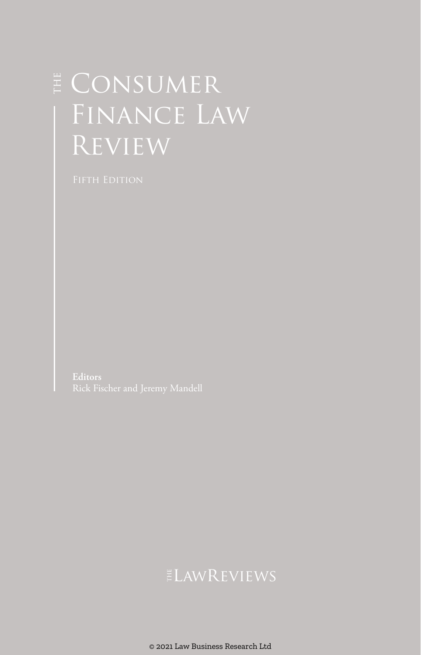# E CONSUMER Finance Law Review

## **ELAWREVIEWS**

© 2021 Law Business Research Ltd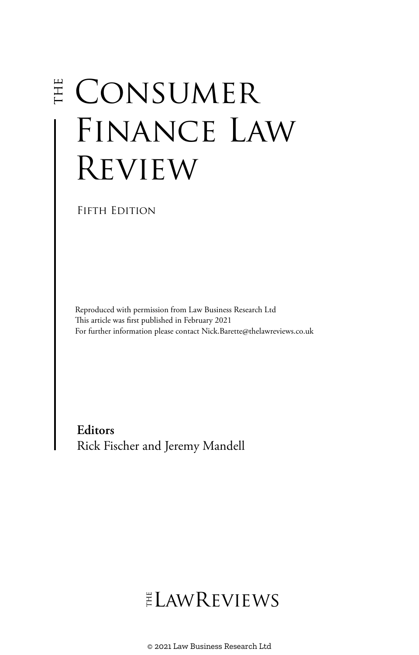# E CONSUMER FINANCE LAW Review

FIFTH EDITION

Reproduced with permission from Law Business Research Ltd This article was first published in February 2021 For further information please contact Nick.Barette@thelawreviews.co.uk

**Editors** Rick Fischer and Jeremy Mandell

# $ELMR$  EVIEWS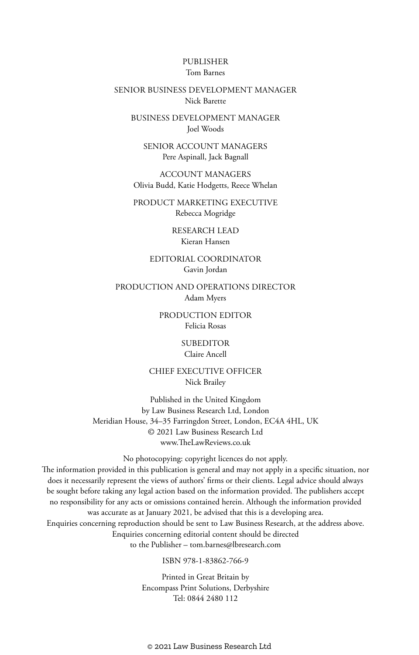#### PUBLISHER Tom Barnes

#### SENIOR BUSINESS DEVELOPMENT MANAGER Nick Barette

BUSINESS DEVELOPMENT MANAGER Joel Woods

SENIOR ACCOUNT MANAGERS Pere Aspinall, Jack Bagnall

ACCOUNT MANAGERS Olivia Budd, Katie Hodgetts, Reece Whelan

PRODUCT MARKETING EXECUTIVE Rebecca Mogridge

> RESEARCH LEAD Kieran Hansen

EDITORIAL COORDINATOR Gavin Jordan

PRODUCTION AND OPERATIONS DIRECTOR Adam Myers

> PRODUCTION EDITOR Felicia Rosas

> > SUBEDITOR Claire Ancell

CHIEF EXECUTIVE OFFICER Nick Brailey

Published in the United Kingdom by Law Business Research Ltd, London Meridian House, 34–35 Farringdon Street, London, EC4A 4HL, UK © 2021 Law Business Research Ltd www.TheLawReviews.co.uk

No photocopying: copyright licences do not apply. The information provided in this publication is general and may not apply in a specific situation, nor does it necessarily represent the views of authors' firms or their clients. Legal advice should always be sought before taking any legal action based on the information provided. The publishers accept no responsibility for any acts or omissions contained herein. Although the information provided was accurate as at January 2021, be advised that this is a developing area. Enquiries concerning reproduction should be sent to Law Business Research, at the address above. Enquiries concerning editorial content should be directed to the Publisher – tom.barnes@lbresearch.com

ISBN 978-1-83862-766-9

Printed in Great Britain by Encompass Print Solutions, Derbyshire Tel: 0844 2480 112

© 2021 Law Business Research Ltd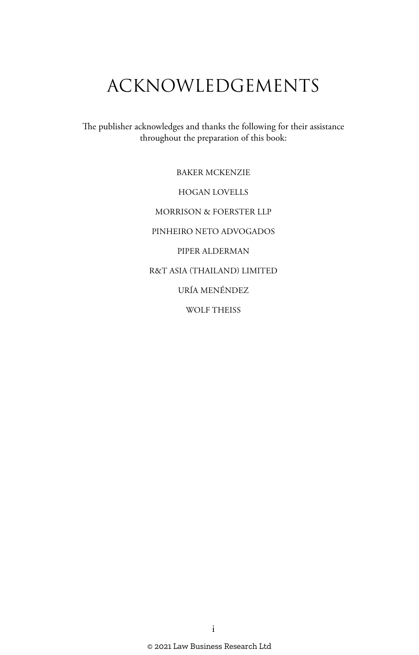# ACKNOWLEDGEMENTS

The publisher acknowledges and thanks the following for their assistance throughout the preparation of this book:

> BAKER MCKENZIE HOGAN LOVELLS MORRISON & FOERSTER LLP PINHEIRO NETO ADVOGADOS PIPER ALDERMAN R&T ASIA (THAILAND) LIMITED URÍA MENÉNDEZ WOLF THEISS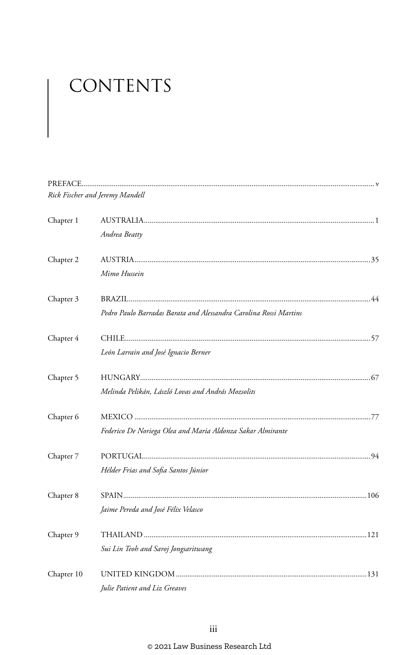# CONTENTS

|            | Rick Fischer and Jeremy Mandell                                   |  |
|------------|-------------------------------------------------------------------|--|
| Chapter 1  |                                                                   |  |
|            | Andrea Beatty                                                     |  |
| Chapter 2  |                                                                   |  |
|            | Mimo Hussein                                                      |  |
| Chapter 3  |                                                                   |  |
|            | Pedro Paulo Barradas Barata and Alessandra Carolina Rossi Martins |  |
| Chapter 4  |                                                                   |  |
|            | León Larrain and José Ignacio Berner                              |  |
| Chapter 5  |                                                                   |  |
|            | Melinda Pelikán, László Lovas and András Mozsolits                |  |
| Chapter 6  |                                                                   |  |
|            | Federico De Noriega Olea and Maria Aldonza Sakar Almirante        |  |
| Chapter 7  |                                                                   |  |
|            | Hélder Frias and Sofia Santos Júnior                              |  |
| Chapter 8  |                                                                   |  |
|            | Jaime Pereda and José Félix Velasco                               |  |
| Chapter 9  |                                                                   |  |
|            | Sui Lin Teoh and Saroj Jongsaritwang                              |  |
| Chapter 10 |                                                                   |  |
|            | Julie Patient and Liz Greaves                                     |  |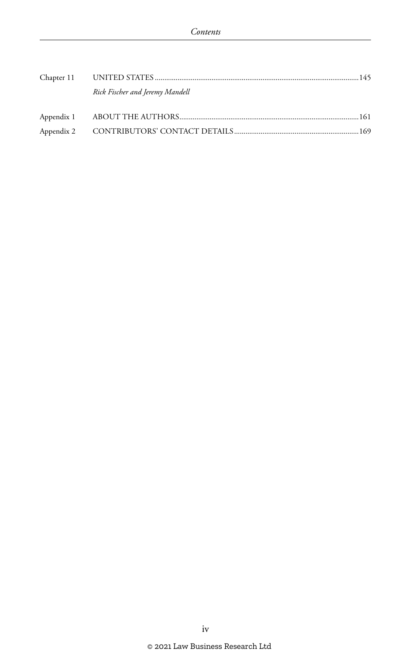|  | Rick Fischer and Jeremy Mandell |  |
|--|---------------------------------|--|
|  |                                 |  |
|  |                                 |  |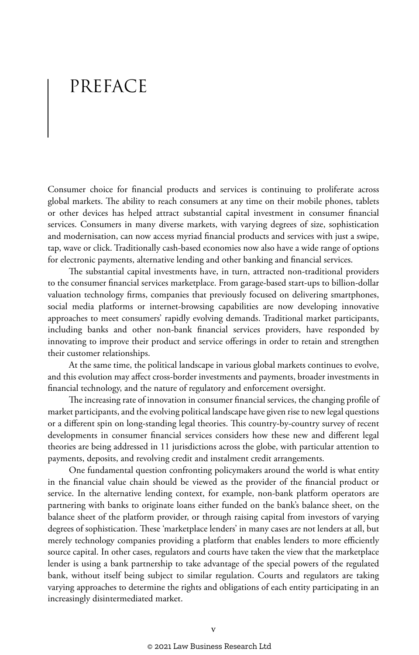## PREFACE

Consumer choice for financial products and services is continuing to proliferate across global markets. The ability to reach consumers at any time on their mobile phones, tablets or other devices has helped attract substantial capital investment in consumer financial services. Consumers in many diverse markets, with varying degrees of size, sophistication and modernisation, can now access myriad financial products and services with just a swipe, tap, wave or click. Traditionally cash-based economies now also have a wide range of options for electronic payments, alternative lending and other banking and financial services.

The substantial capital investments have, in turn, attracted non-traditional providers to the consumer financial services marketplace. From garage-based start-ups to billion-dollar valuation technology firms, companies that previously focused on delivering smartphones, social media platforms or internet-browsing capabilities are now developing innovative approaches to meet consumers' rapidly evolving demands. Traditional market participants, including banks and other non-bank financial services providers, have responded by innovating to improve their product and service offerings in order to retain and strengthen their customer relationships.

At the same time, the political landscape in various global markets continues to evolve, and this evolution may affect cross-border investments and payments, broader investments in financial technology, and the nature of regulatory and enforcement oversight.

The increasing rate of innovation in consumer financial services, the changing profile of market participants, and the evolving political landscape have given rise to new legal questions or a different spin on long-standing legal theories. This country-by-country survey of recent developments in consumer financial services considers how these new and different legal theories are being addressed in 11 jurisdictions across the globe, with particular attention to payments, deposits, and revolving credit and instalment credit arrangements.

One fundamental question confronting policymakers around the world is what entity in the financial value chain should be viewed as the provider of the financial product or service. In the alternative lending context, for example, non-bank platform operators are partnering with banks to originate loans either funded on the bank's balance sheet, on the balance sheet of the platform provider, or through raising capital from investors of varying degrees of sophistication. These 'marketplace lenders' in many cases are not lenders at all, but merely technology companies providing a platform that enables lenders to more efficiently source capital. In other cases, regulators and courts have taken the view that the marketplace lender is using a bank partnership to take advantage of the special powers of the regulated bank, without itself being subject to similar regulation. Courts and regulators are taking varying approaches to determine the rights and obligations of each entity participating in an increasingly disintermediated market.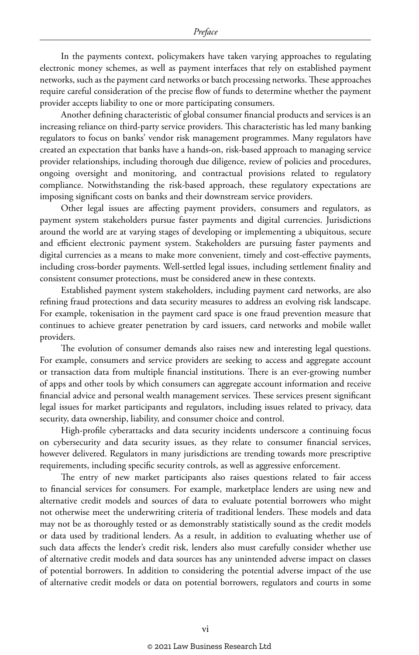In the payments context, policymakers have taken varying approaches to regulating electronic money schemes, as well as payment interfaces that rely on established payment networks, such as the payment card networks or batch processing networks. These approaches require careful consideration of the precise flow of funds to determine whether the payment provider accepts liability to one or more participating consumers.

Another defining characteristic of global consumer financial products and services is an increasing reliance on third-party service providers. This characteristic has led many banking regulators to focus on banks' vendor risk management programmes. Many regulators have created an expectation that banks have a hands-on, risk-based approach to managing service provider relationships, including thorough due diligence, review of policies and procedures, ongoing oversight and monitoring, and contractual provisions related to regulatory compliance. Notwithstanding the risk-based approach, these regulatory expectations are imposing significant costs on banks and their downstream service providers.

Other legal issues are affecting payment providers, consumers and regulators, as payment system stakeholders pursue faster payments and digital currencies. Jurisdictions around the world are at varying stages of developing or implementing a ubiquitous, secure and efficient electronic payment system. Stakeholders are pursuing faster payments and digital currencies as a means to make more convenient, timely and cost-effective payments, including cross-border payments. Well-settled legal issues, including settlement finality and consistent consumer protections, must be considered anew in these contexts.

Established payment system stakeholders, including payment card networks, are also refining fraud protections and data security measures to address an evolving risk landscape. For example, tokenisation in the payment card space is one fraud prevention measure that continues to achieve greater penetration by card issuers, card networks and mobile wallet providers.

The evolution of consumer demands also raises new and interesting legal questions. For example, consumers and service providers are seeking to access and aggregate account or transaction data from multiple financial institutions. There is an ever-growing number of apps and other tools by which consumers can aggregate account information and receive financial advice and personal wealth management services. These services present significant legal issues for market participants and regulators, including issues related to privacy, data security, data ownership, liability, and consumer choice and control.

High-profile cyberattacks and data security incidents underscore a continuing focus on cybersecurity and data security issues, as they relate to consumer financial services, however delivered. Regulators in many jurisdictions are trending towards more prescriptive requirements, including specific security controls, as well as aggressive enforcement.

The entry of new market participants also raises questions related to fair access to financial services for consumers. For example, marketplace lenders are using new and alternative credit models and sources of data to evaluate potential borrowers who might not otherwise meet the underwriting criteria of traditional lenders. These models and data may not be as thoroughly tested or as demonstrably statistically sound as the credit models or data used by traditional lenders. As a result, in addition to evaluating whether use of such data affects the lender's credit risk, lenders also must carefully consider whether use of alternative credit models and data sources has any unintended adverse impact on classes of potential borrowers. In addition to considering the potential adverse impact of the use of alternative credit models or data on potential borrowers, regulators and courts in some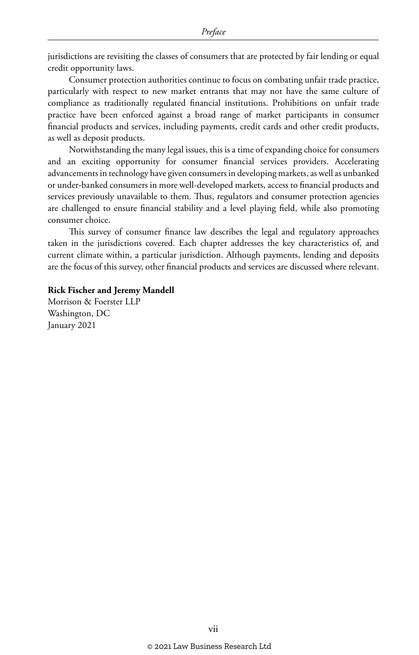jurisdictions are revisiting the classes of consumers that are protected by fair lending or equal credit opportunity laws.

Consumer protection authorities continue to focus on combating unfair trade practice, particularly with respect to new market entrants that may not have the same culture of compliance as traditionally regulated financial institutions. Prohibitions on unfair trade practice have been enforced against a broad range of market participants in consumer financial products and services, including payments, credit cards and other credit products, as well as deposit products.

Notwithstanding the many legal issues, this is a time of expanding choice for consumers and an exciting opportunity for consumer financial services providers. Accelerating advancements in technology have given consumers in developing markets, as well as unbanked or under-banked consumers in more well-developed markets, access to financial products and services previously unavailable to them. Thus, regulators and consumer protection agencies are challenged to ensure financial stability and a level playing field, while also promoting consumer choice.

This survey of consumer finance law describes the legal and regulatory approaches taken in the jurisdictions covered. Each chapter addresses the key characteristics of, and current climate within, a particular jurisdiction. Although payments, lending and deposits are the focus of this survey, other financial products and services are discussed where relevant.

#### **Rick Fischer and Jeremy Mandell**

Morrison & Foerster LLP Washington, DC January 2021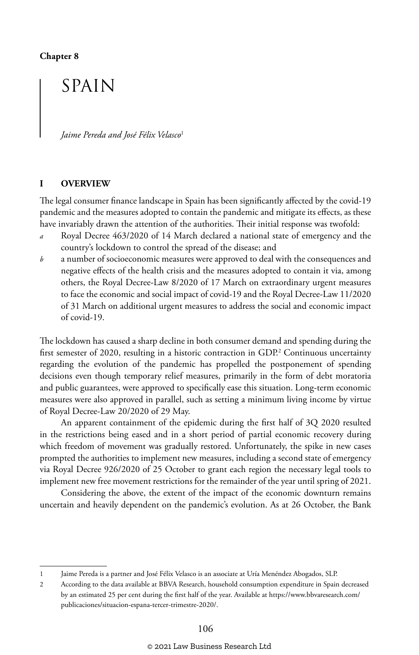### SPAIN

*Jaime Pereda and José Félix Velasco*<sup>1</sup>

#### **I OVERVIEW**

The legal consumer finance landscape in Spain has been significantly affected by the covid-19 pandemic and the measures adopted to contain the pandemic and mitigate its effects, as these have invariably drawn the attention of the authorities. Their initial response was twofold:

- *a* Royal Decree 463/2020 of 14 March declared a national state of emergency and the country's lockdown to control the spread of the disease; and
- *b* a number of socioeconomic measures were approved to deal with the consequences and negative effects of the health crisis and the measures adopted to contain it via, among others, the Royal Decree-Law 8/2020 of 17 March on extraordinary urgent measures to face the economic and social impact of covid-19 and the Royal Decree-Law 11/2020 of 31 March on additional urgent measures to address the social and economic impact of covid-19.

The lockdown has caused a sharp decline in both consumer demand and spending during the first semester of 2020, resulting in a historic contraction in GDP.<sup>2</sup> Continuous uncertainty regarding the evolution of the pandemic has propelled the postponement of spending decisions even though temporary relief measures, primarily in the form of debt moratoria and public guarantees, were approved to specifically ease this situation. Long-term economic measures were also approved in parallel, such as setting a minimum living income by virtue of Royal Decree-Law 20/2020 of 29 May.

An apparent containment of the epidemic during the first half of 3Q 2020 resulted in the restrictions being eased and in a short period of partial economic recovery during which freedom of movement was gradually restored. Unfortunately, the spike in new cases prompted the authorities to implement new measures, including a second state of emergency via Royal Decree 926/2020 of 25 October to grant each region the necessary legal tools to implement new free movement restrictions for the remainder of the year until spring of 2021.

Considering the above, the extent of the impact of the economic downturn remains uncertain and heavily dependent on the pandemic's evolution. As at 26 October, the Bank

<sup>1</sup> Jaime Pereda is a partner and José Félix Velasco is an associate at Uría Menéndez Abogados, SLP.

<sup>2</sup> According to the data available at BBVA Research, household consumption expenditure in Spain decreased by an estimated 25 per cent during the first half of the year. Available at https://www.bbvaresearch.com/ publicaciones/situacion-espana-tercer-trimestre-2020/.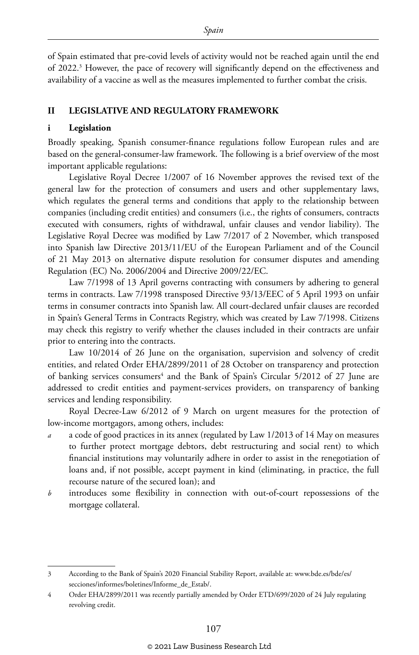of Spain estimated that pre-covid levels of activity would not be reached again until the end of 2022.<sup>3</sup> However, the pace of recovery will significantly depend on the effectiveness and availability of a vaccine as well as the measures implemented to further combat the crisis.

#### **II LEGISLATIVE AND REGULATORY FRAMEWORK**

#### **i Legislation**

Broadly speaking, Spanish consumer-finance regulations follow European rules and are based on the general-consumer-law framework. The following is a brief overview of the most important applicable regulations:

Legislative Royal Decree 1/2007 of 16 November approves the revised text of the general law for the protection of consumers and users and other supplementary laws, which regulates the general terms and conditions that apply to the relationship between companies (including credit entities) and consumers (i.e., the rights of consumers, contracts executed with consumers, rights of withdrawal, unfair clauses and vendor liability). The Legislative Royal Decree was modified by Law 7/2017 of 2 November, which transposed into Spanish law Directive 2013/11/EU of the European Parliament and of the Council of 21 May 2013 on alternative dispute resolution for consumer disputes and amending Regulation (EC) No. 2006/2004 and Directive 2009/22/EC.

Law 7/1998 of 13 April governs contracting with consumers by adhering to general terms in contracts. Law 7/1998 transposed Directive 93/13/EEC of 5 April 1993 on unfair terms in consumer contracts into Spanish law. All court-declared unfair clauses are recorded in Spain's General Terms in Contracts Registry, which was created by Law 7/1998. Citizens may check this registry to verify whether the clauses included in their contracts are unfair prior to entering into the contracts.

Law 10/2014 of 26 June on the organisation, supervision and solvency of credit entities, and related Order EHA/2899/2011 of 28 October on transparency and protection of banking services consumers<sup>4</sup> and the Bank of Spain's Circular 5/2012 of 27 June are addressed to credit entities and payment-services providers, on transparency of banking services and lending responsibility.

Royal Decree-Law 6/2012 of 9 March on urgent measures for the protection of low-income mortgagors, among others, includes:

- *a* a code of good practices in its annex (regulated by Law 1/2013 of 14 May on measures to further protect mortgage debtors, debt restructuring and social rent) to which financial institutions may voluntarily adhere in order to assist in the renegotiation of loans and, if not possible, accept payment in kind (eliminating, in practice, the full recourse nature of the secured loan); and
- *b* introduces some flexibility in connection with out-of-court repossessions of the mortgage collateral.

<sup>3</sup> According to the Bank of Spain's 2020 Financial Stability Report, available at: www.bde.es/bde/es/ secciones/informes/boletines/Informe\_de\_Estab/.

<sup>4</sup> Order EHA/2899/2011 was recently partially amended by Order ETD/699/2020 of 24 July regulating revolving credit.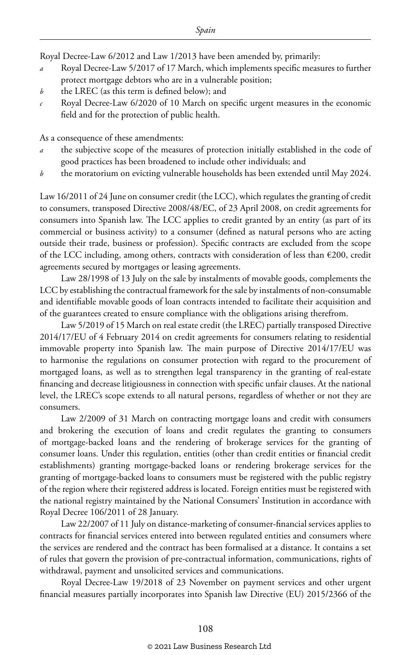Royal Decree-Law 6/2012 and Law 1/2013 have been amended by, primarily:

- *a* Royal Decree-Law 5/2017 of 17 March, which implements specific measures to further protect mortgage debtors who are in a vulnerable position;
- *b* the LREC (as this term is defined below); and
- *c* Royal Decree-Law 6/2020 of 10 March on specific urgent measures in the economic field and for the protection of public health.

As a consequence of these amendments:

- *a* the subjective scope of the measures of protection initially established in the code of good practices has been broadened to include other individuals; and
- *b* the moratorium on evicting vulnerable households has been extended until May 2024.

Law 16/2011 of 24 June on consumer credit (the LCC), which regulates the granting of credit to consumers, transposed Directive 2008/48/EC, of 23 April 2008, on credit agreements for consumers into Spanish law. The LCC applies to credit granted by an entity (as part of its commercial or business activity) to a consumer (defined as natural persons who are acting outside their trade, business or profession). Specific contracts are excluded from the scope of the LCC including, among others, contracts with consideration of less than €200, credit agreements secured by mortgages or leasing agreements.

Law 28/1998 of 13 July on the sale by instalments of movable goods, complements the LCC by establishing the contractual framework for the sale by instalments of non-consumable and identifiable movable goods of loan contracts intended to facilitate their acquisition and of the guarantees created to ensure compliance with the obligations arising therefrom.

Law 5/2019 of 15 March on real estate credit (the LREC) partially transposed Directive 2014/17/EU of 4 February 2014 on credit agreements for consumers relating to residential immovable property into Spanish law. The main purpose of Directive 2014/17/EU was to harmonise the regulations on consumer protection with regard to the procurement of mortgaged loans, as well as to strengthen legal transparency in the granting of real-estate financing and decrease litigiousness in connection with specific unfair clauses. At the national level, the LREC's scope extends to all natural persons, regardless of whether or not they are consumers.

Law 2/2009 of 31 March on contracting mortgage loans and credit with consumers and brokering the execution of loans and credit regulates the granting to consumers of mortgage-backed loans and the rendering of brokerage services for the granting of consumer loans. Under this regulation, entities (other than credit entities or financial credit establishments) granting mortgage-backed loans or rendering brokerage services for the granting of mortgage-backed loans to consumers must be registered with the public registry of the region where their registered address is located. Foreign entities must be registered with the national registry maintained by the National Consumers' Institution in accordance with Royal Decree 106/2011 of 28 January.

Law 22/2007 of 11 July on distance-marketing of consumer-financial services applies to contracts for financial services entered into between regulated entities and consumers where the services are rendered and the contract has been formalised at a distance. It contains a set of rules that govern the provision of pre-contractual information, communications, rights of withdrawal, payment and unsolicited services and communications.

Royal Decree-Law 19/2018 of 23 November on payment services and other urgent financial measures partially incorporates into Spanish law Directive (EU) 2015/2366 of the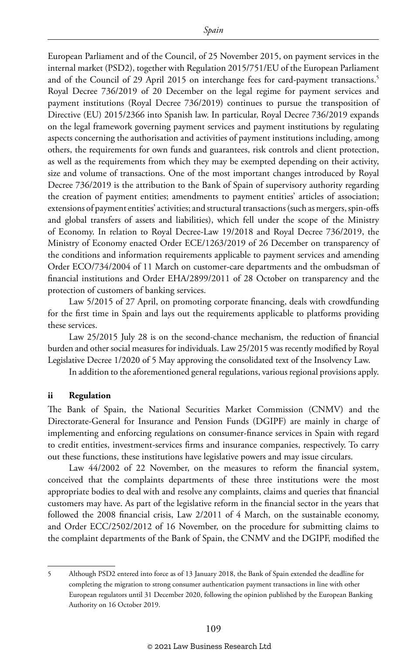European Parliament and of the Council, of 25 November 2015, on payment services in the internal market (PSD2), together with Regulation 2015/751/EU of the European Parliament and of the Council of 29 April 2015 on interchange fees for card-payment transactions.<sup>5</sup> Royal Decree 736/2019 of 20 December on the legal regime for payment services and payment institutions (Royal Decree 736/2019) continues to pursue the transposition of Directive (EU) 2015/2366 into Spanish law. In particular, Royal Decree 736/2019 expands on the legal framework governing payment services and payment institutions by regulating aspects concerning the authorisation and activities of payment institutions including, among others, the requirements for own funds and guarantees, risk controls and client protection, as well as the requirements from which they may be exempted depending on their activity, size and volume of transactions. One of the most important changes introduced by Royal Decree 736/2019 is the attribution to the Bank of Spain of supervisory authority regarding the creation of payment entities; amendments to payment entities' articles of association; extensions of payment entities' activities; and structural transactions (such as mergers, spin-offs and global transfers of assets and liabilities), which fell under the scope of the Ministry of Economy. In relation to Royal Decree-Law 19/2018 and Royal Decree 736/2019, the Ministry of Economy enacted Order ECE/1263/2019 of 26 December on transparency of the conditions and information requirements applicable to payment services and amending Order ECO/734/2004 of 11 March on customer-care departments and the ombudsman of financial institutions and Order EHA/2899/2011 of 28 October on transparency and the protection of customers of banking services.

Law 5/2015 of 27 April, on promoting corporate financing, deals with crowdfunding for the first time in Spain and lays out the requirements applicable to platforms providing these services.

Law 25/2015 July 28 is on the second-chance mechanism, the reduction of financial burden and other social measures for individuals. Law 25/2015 was recently modified by Royal Legislative Decree 1/2020 of 5 May approving the consolidated text of the Insolvency Law.

In addition to the aforementioned general regulations, various regional provisions apply.

#### **ii Regulation**

The Bank of Spain, the National Securities Market Commission (CNMV) and the Directorate-General for Insurance and Pension Funds (DGIPF) are mainly in charge of implementing and enforcing regulations on consumer-finance services in Spain with regard to credit entities, investment-services firms and insurance companies, respectively. To carry out these functions, these institutions have legislative powers and may issue circulars.

Law 44/2002 of 22 November, on the measures to reform the financial system, conceived that the complaints departments of these three institutions were the most appropriate bodies to deal with and resolve any complaints, claims and queries that financial customers may have. As part of the legislative reform in the financial sector in the years that followed the 2008 financial crisis, Law 2/2011 of 4 March, on the sustainable economy, and Order ECC/2502/2012 of 16 November, on the procedure for submitting claims to the complaint departments of the Bank of Spain, the CNMV and the DGIPF, modified the

<sup>5</sup> Although PSD2 entered into force as of 13 January 2018, the Bank of Spain extended the deadline for completing the migration to strong consumer authentication payment transactions in line with other European regulators until 31 December 2020, following the opinion published by the European Banking Authority on 16 October 2019.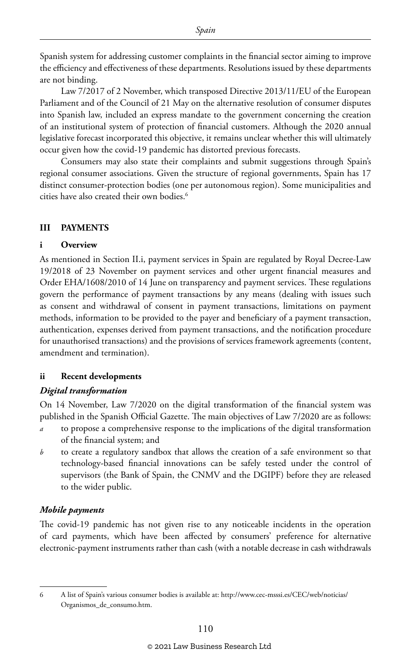Spanish system for addressing customer complaints in the financial sector aiming to improve the efficiency and effectiveness of these departments. Resolutions issued by these departments are not binding.

Law 7/2017 of 2 November, which transposed Directive 2013/11/EU of the European Parliament and of the Council of 21 May on the alternative resolution of consumer disputes into Spanish law, included an express mandate to the government concerning the creation of an institutional system of protection of financial customers. Although the 2020 annual legislative forecast incorporated this objective, it remains unclear whether this will ultimately occur given how the covid-19 pandemic has distorted previous forecasts.

Consumers may also state their complaints and submit suggestions through Spain's regional consumer associations. Given the structure of regional governments, Spain has 17 distinct consumer-protection bodies (one per autonomous region). Some municipalities and cities have also created their own bodies.6

#### **III PAYMENTS**

#### **i Overview**

As mentioned in Section II.i, payment services in Spain are regulated by Royal Decree-Law 19/2018 of 23 November on payment services and other urgent financial measures and Order EHA/1608/2010 of 14 June on transparency and payment services. These regulations govern the performance of payment transactions by any means (dealing with issues such as consent and withdrawal of consent in payment transactions, limitations on payment methods, information to be provided to the payer and beneficiary of a payment transaction, authentication, expenses derived from payment transactions, and the notification procedure for unauthorised transactions) and the provisions of services framework agreements (content, amendment and termination).

#### **ii Recent developments**

#### *Digital transformation*

On 14 November, Law 7/2020 on the digital transformation of the financial system was published in the Spanish Official Gazette. The main objectives of Law 7/2020 are as follows:

- *a* to propose a comprehensive response to the implications of the digital transformation of the financial system; and
- *b* to create a regulatory sandbox that allows the creation of a safe environment so that technology-based financial innovations can be safely tested under the control of supervisors (the Bank of Spain, the CNMV and the DGIPF) before they are released to the wider public.

#### *Mobile payments*

The covid-19 pandemic has not given rise to any noticeable incidents in the operation of card payments, which have been affected by consumers' preference for alternative electronic-payment instruments rather than cash (with a notable decrease in cash withdrawals

<sup>6</sup> A list of Spain's various consumer bodies is available at: http://www.cec-msssi.es/CEC/web/noticias/ Organismos\_de\_consumo.htm.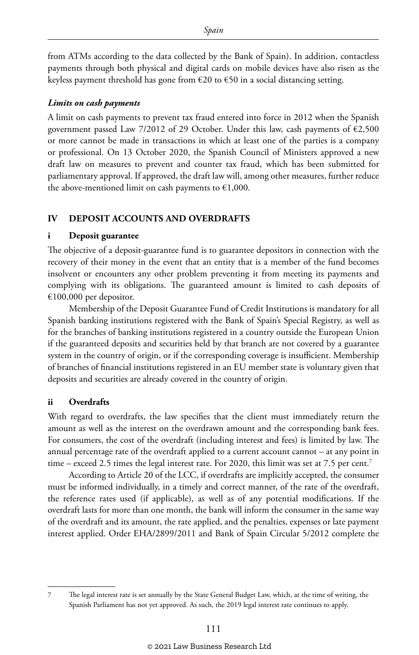from ATMs according to the data collected by the Bank of Spain). In addition, contactless payments through both physical and digital cards on mobile devices have also risen as the keyless payment threshold has gone from  $\epsilon$ 20 to  $\epsilon$ 50 in a social distancing setting.

#### *Limits on cash payments*

A limit on cash payments to prevent tax fraud entered into force in 2012 when the Spanish government passed Law 7/2012 of 29 October. Under this law, cash payments of  $\epsilon$ 2,500 or more cannot be made in transactions in which at least one of the parties is a company or professional. On 13 October 2020, the Spanish Council of Ministers approved a new draft law on measures to prevent and counter tax fraud, which has been submitted for parliamentary approval. If approved, the draft law will, among other measures, further reduce the above-mentioned limit on cash payments to  $\epsilon$ 1,000.

#### **IV DEPOSIT ACCOUNTS AND OVERDRAFTS**

#### **i Deposit guarantee**

The objective of a deposit-guarantee fund is to guarantee depositors in connection with the recovery of their money in the event that an entity that is a member of the fund becomes insolvent or encounters any other problem preventing it from meeting its payments and complying with its obligations. The guaranteed amount is limited to cash deposits of €100,000 per depositor.

Membership of the Deposit Guarantee Fund of Credit Institutions is mandatory for all Spanish banking institutions registered with the Bank of Spain's Special Registry, as well as for the branches of banking institutions registered in a country outside the European Union if the guaranteed deposits and securities held by that branch are not covered by a guarantee system in the country of origin, or if the corresponding coverage is insufficient. Membership of branches of financial institutions registered in an EU member state is voluntary given that deposits and securities are already covered in the country of origin.

#### **ii Overdrafts**

With regard to overdrafts, the law specifies that the client must immediately return the amount as well as the interest on the overdrawn amount and the corresponding bank fees. For consumers, the cost of the overdraft (including interest and fees) is limited by law. The annual percentage rate of the overdraft applied to a current account cannot – at any point in time – exceed 2.5 times the legal interest rate. For 2020, this limit was set at 7.5 per cent.<sup>7</sup>

According to Article 20 of the LCC, if overdrafts are implicitly accepted, the consumer must be informed individually, in a timely and correct manner, of the rate of the overdraft, the reference rates used (if applicable), as well as of any potential modifications. If the overdraft lasts for more than one month, the bank will inform the consumer in the same way of the overdraft and its amount, the rate applied, and the penalties, expenses or late payment interest applied. Order EHA/2899/2011 and Bank of Spain Circular 5/2012 complete the

<sup>7</sup> The legal interest rate is set annually by the State General Budget Law, which, at the time of writing, the Spanish Parliament has not yet approved. As such, the 2019 legal interest rate continues to apply.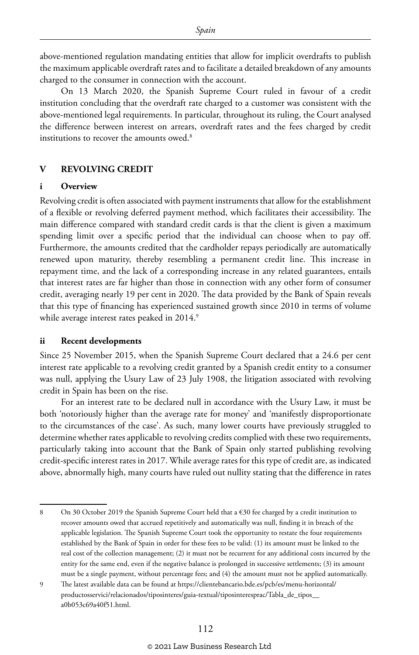above-mentioned regulation mandating entities that allow for implicit overdrafts to publish the maximum applicable overdraft rates and to facilitate a detailed breakdown of any amounts charged to the consumer in connection with the account.

On 13 March 2020, the Spanish Supreme Court ruled in favour of a credit institution concluding that the overdraft rate charged to a customer was consistent with the above-mentioned legal requirements. In particular, throughout its ruling, the Court analysed the difference between interest on arrears, overdraft rates and the fees charged by credit institutions to recover the amounts owed.<sup>8</sup>

#### **V REVOLVING CREDIT**

#### **i Overview**

Revolving credit is often associated with payment instruments that allow for the establishment of a flexible or revolving deferred payment method, which facilitates their accessibility. The main difference compared with standard credit cards is that the client is given a maximum spending limit over a specific period that the individual can choose when to pay off. Furthermore, the amounts credited that the cardholder repays periodically are automatically renewed upon maturity, thereby resembling a permanent credit line. This increase in repayment time, and the lack of a corresponding increase in any related guarantees, entails that interest rates are far higher than those in connection with any other form of consumer credit, averaging nearly 19 per cent in 2020. The data provided by the Bank of Spain reveals that this type of financing has experienced sustained growth since 2010 in terms of volume while average interest rates peaked in 2014.<sup>9</sup>

#### **ii Recent developments**

Since 25 November 2015, when the Spanish Supreme Court declared that a 24.6 per cent interest rate applicable to a revolving credit granted by a Spanish credit entity to a consumer was null, applying the Usury Law of 23 July 1908, the litigation associated with revolving credit in Spain has been on the rise.

For an interest rate to be declared null in accordance with the Usury Law, it must be both 'notoriously higher than the average rate for money' and 'manifestly disproportionate to the circumstances of the case'. As such, many lower courts have previously struggled to determine whether rates applicable to revolving credits complied with these two requirements, particularly taking into account that the Bank of Spain only started publishing revolving credit-specific interest rates in 2017. While average rates for this type of credit are, as indicated above, abnormally high, many courts have ruled out nullity stating that the difference in rates

<sup>8</sup> On 30 October 2019 the Spanish Supreme Court held that a €30 fee charged by a credit institution to recover amounts owed that accrued repetitively and automatically was null, finding it in breach of the applicable legislation. The Spanish Supreme Court took the opportunity to restate the four requirements established by the Bank of Spain in order for these fees to be valid: (1) its amount must be linked to the real cost of the collection management; (2) it must not be recurrent for any additional costs incurred by the entity for the same end, even if the negative balance is prolonged in successive settlements; (3) its amount must be a single payment, without percentage fees; and (4) the amount must not be applied automatically.

<sup>9</sup> The latest available data can be found at https://clientebancario.bde.es/pcb/es/menu-horizontal/ productosservici/relacionados/tiposinteres/guia-textual/tiposinteresprac/Tabla\_de\_tipos\_\_ a0b053c69a40f51.html.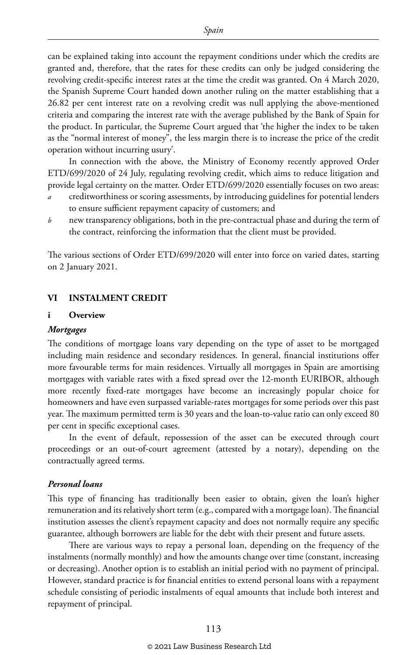can be explained taking into account the repayment conditions under which the credits are granted and, therefore, that the rates for these credits can only be judged considering the revolving credit-specific interest rates at the time the credit was granted. On 4 March 2020, the Spanish Supreme Court handed down another ruling on the matter establishing that a 26.82 per cent interest rate on a revolving credit was null applying the above-mentioned criteria and comparing the interest rate with the average published by the Bank of Spain for the product. In particular, the Supreme Court argued that 'the higher the index to be taken as the "normal interest of money", the less margin there is to increase the price of the credit operation without incurring usury'.

In connection with the above, the Ministry of Economy recently approved Order ETD/699/2020 of 24 July, regulating revolving credit, which aims to reduce litigation and provide legal certainty on the matter. Order ETD/699/2020 essentially focuses on two areas:

- *a* creditworthiness or scoring assessments, by introducing guidelines for potential lenders to ensure sufficient repayment capacity of customers; and
- *b* new transparency obligations, both in the pre-contractual phase and during the term of the contract, reinforcing the information that the client must be provided.

The various sections of Order ETD/699/2020 will enter into force on varied dates, starting on 2 January 2021.

#### **VI INSTALMENT CREDIT**

#### **i Overview**

#### *Mortgages*

The conditions of mortgage loans vary depending on the type of asset to be mortgaged including main residence and secondary residences. In general, financial institutions offer more favourable terms for main residences. Virtually all mortgages in Spain are amortising mortgages with variable rates with a fixed spread over the 12-month EURIBOR, although more recently fixed-rate mortgages have become an increasingly popular choice for homeowners and have even surpassed variable-rates mortgages for some periods over this past year. The maximum permitted term is 30 years and the loan-to-value ratio can only exceed 80 per cent in specific exceptional cases.

In the event of default, repossession of the asset can be executed through court proceedings or an out-of-court agreement (attested by a notary), depending on the contractually agreed terms.

#### *Personal loans*

This type of financing has traditionally been easier to obtain, given the loan's higher remuneration and its relatively short term (e.g., compared with a mortgage loan). The financial institution assesses the client's repayment capacity and does not normally require any specific guarantee, although borrowers are liable for the debt with their present and future assets.

There are various ways to repay a personal loan, depending on the frequency of the instalments (normally monthly) and how the amounts change over time (constant, increasing or decreasing). Another option is to establish an initial period with no payment of principal. However, standard practice is for financial entities to extend personal loans with a repayment schedule consisting of periodic instalments of equal amounts that include both interest and repayment of principal.

#### © 2021 Law Business Research Ltd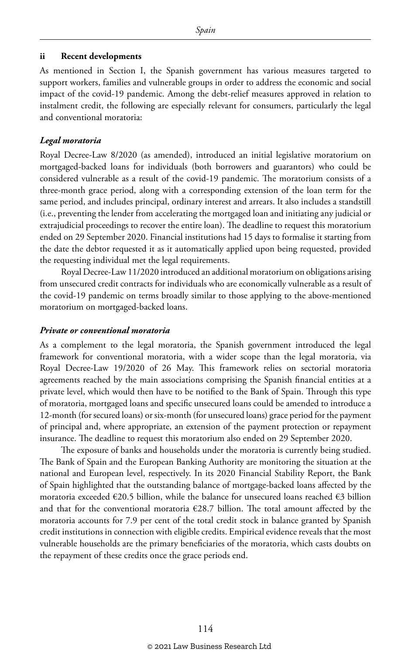#### **ii Recent developments**

As mentioned in Section I, the Spanish government has various measures targeted to support workers, families and vulnerable groups in order to address the economic and social impact of the covid-19 pandemic. Among the debt-relief measures approved in relation to instalment credit, the following are especially relevant for consumers, particularly the legal and conventional moratoria:

#### *Legal moratoria*

Royal Decree-Law 8/2020 (as amended), introduced an initial legislative moratorium on mortgaged-backed loans for individuals (both borrowers and guarantors) who could be considered vulnerable as a result of the covid-19 pandemic. The moratorium consists of a three-month grace period, along with a corresponding extension of the loan term for the same period, and includes principal, ordinary interest and arrears. It also includes a standstill (i.e., preventing the lender from accelerating the mortgaged loan and initiating any judicial or extrajudicial proceedings to recover the entire loan). The deadline to request this moratorium ended on 29 September 2020. Financial institutions had 15 days to formalise it starting from the date the debtor requested it as it automatically applied upon being requested, provided the requesting individual met the legal requirements.

Royal Decree-Law 11/2020 introduced an additional moratorium on obligations arising from unsecured credit contracts for individuals who are economically vulnerable as a result of the covid-19 pandemic on terms broadly similar to those applying to the above-mentioned moratorium on mortgaged-backed loans.

#### *Private or conventional moratoria*

As a complement to the legal moratoria, the Spanish government introduced the legal framework for conventional moratoria, with a wider scope than the legal moratoria, via Royal Decree-Law 19/2020 of 26 May. This framework relies on sectorial moratoria agreements reached by the main associations comprising the Spanish financial entities at a private level, which would then have to be notified to the Bank of Spain. Through this type of moratoria, mortgaged loans and specific unsecured loans could be amended to introduce a 12-month (for secured loans) or six-month (for unsecured loans) grace period for the payment of principal and, where appropriate, an extension of the payment protection or repayment insurance. The deadline to request this moratorium also ended on 29 September 2020.

The exposure of banks and households under the moratoria is currently being studied. The Bank of Spain and the European Banking Authority are monitoring the situation at the national and European level, respectively. In its 2020 Financial Stability Report, the Bank of Spain highlighted that the outstanding balance of mortgage-backed loans affected by the moratoria exceeded  $\epsilon$ 20.5 billion, while the balance for unsecured loans reached  $\epsilon$ 3 billion and that for the conventional moratoria  $\epsilon$ 28.7 billion. The total amount affected by the moratoria accounts for 7.9 per cent of the total credit stock in balance granted by Spanish credit institutions in connection with eligible credits. Empirical evidence reveals that the most vulnerable households are the primary beneficiaries of the moratoria, which casts doubts on the repayment of these credits once the grace periods end.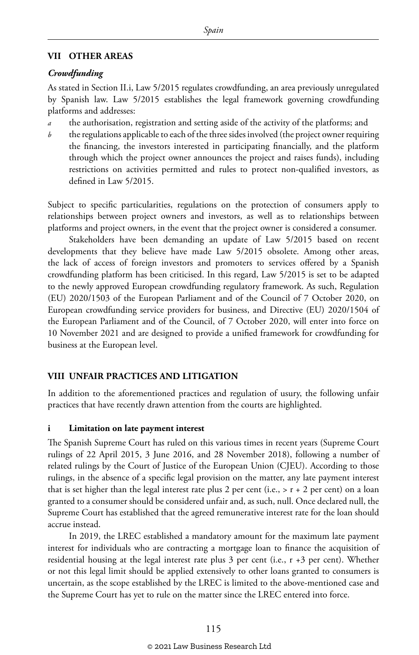#### **VII OTHER AREAS**

#### *Crowdfunding*

As stated in Section II.i, Law 5/2015 regulates crowdfunding, an area previously unregulated by Spanish law. Law 5/2015 establishes the legal framework governing crowdfunding platforms and addresses:

- *a* the authorisation, registration and setting aside of the activity of the platforms; and
- *b* the regulations applicable to each of the three sides involved (the project owner requiring the financing, the investors interested in participating financially, and the platform through which the project owner announces the project and raises funds), including restrictions on activities permitted and rules to protect non-qualified investors, as defined in Law 5/2015.

Subject to specific particularities, regulations on the protection of consumers apply to relationships between project owners and investors, as well as to relationships between platforms and project owners, in the event that the project owner is considered a consumer.

Stakeholders have been demanding an update of Law 5/2015 based on recent developments that they believe have made Law 5/2015 obsolete. Among other areas, the lack of access of foreign investors and promoters to services offered by a Spanish crowdfunding platform has been criticised. In this regard, Law 5/2015 is set to be adapted to the newly approved European crowdfunding regulatory framework. As such, Regulation (EU) 2020/1503 of the European Parliament and of the Council of 7 October 2020, on European crowdfunding service providers for business, and Directive (EU) 2020/1504 of the European Parliament and of the Council, of 7 October 2020, will enter into force on 10 November 2021 and are designed to provide a unified framework for crowdfunding for business at the European level.

#### **VIII UNFAIR PRACTICES AND LITIGATION**

In addition to the aforementioned practices and regulation of usury, the following unfair practices that have recently drawn attention from the courts are highlighted.

#### **i Limitation on late payment interest**

The Spanish Supreme Court has ruled on this various times in recent years (Supreme Court rulings of 22 April 2015, 3 June 2016, and 28 November 2018), following a number of related rulings by the Court of Justice of the European Union (CJEU). According to those rulings, in the absence of a specific legal provision on the matter, any late payment interest that is set higher than the legal interest rate plus 2 per cent (i.e., > r + 2 per cent) on a loan granted to a consumer should be considered unfair and, as such, null. Once declared null, the Supreme Court has established that the agreed remunerative interest rate for the loan should accrue instead.

In 2019, the LREC established a mandatory amount for the maximum late payment interest for individuals who are contracting a mortgage loan to finance the acquisition of residential housing at the legal interest rate plus 3 per cent (i.e., r +3 per cent). Whether or not this legal limit should be applied extensively to other loans granted to consumers is uncertain, as the scope established by the LREC is limited to the above-mentioned case and the Supreme Court has yet to rule on the matter since the LREC entered into force.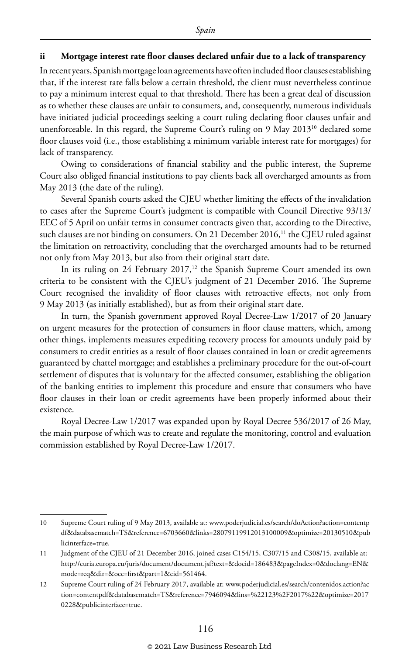#### **ii Mortgage interest rate floor clauses declared unfair due to a lack of transparency**

In recent years, Spanish mortgage loan agreements have often included floor clauses establishing that, if the interest rate falls below a certain threshold, the client must nevertheless continue to pay a minimum interest equal to that threshold. There has been a great deal of discussion as to whether these clauses are unfair to consumers, and, consequently, numerous individuals have initiated judicial proceedings seeking a court ruling declaring floor clauses unfair and unenforceable. In this regard, the Supreme Court's ruling on 9 May 2013<sup>10</sup> declared some floor clauses void (i.e., those establishing a minimum variable interest rate for mortgages) for lack of transparency.

Owing to considerations of financial stability and the public interest, the Supreme Court also obliged financial institutions to pay clients back all overcharged amounts as from May 2013 (the date of the ruling).

Several Spanish courts asked the CJEU whether limiting the effects of the invalidation to cases after the Supreme Court's judgment is compatible with Council Directive 93/13/ EEC of 5 April on unfair terms in consumer contracts given that, according to the Directive, such clauses are not binding on consumers. On 21 December 2016,<sup>11</sup> the CJEU ruled against the limitation on retroactivity, concluding that the overcharged amounts had to be returned not only from May 2013, but also from their original start date.

In its ruling on 24 February 2017,<sup>12</sup> the Spanish Supreme Court amended its own criteria to be consistent with the CJEU's judgment of 21 December 2016. The Supreme Court recognised the invalidity of floor clauses with retroactive effects, not only from 9 May 2013 (as initially established), but as from their original start date.

In turn, the Spanish government approved Royal Decree-Law 1/2017 of 20 January on urgent measures for the protection of consumers in floor clause matters, which, among other things, implements measures expediting recovery process for amounts unduly paid by consumers to credit entities as a result of floor clauses contained in loan or credit agreements guaranteed by chattel mortgage; and establishes a preliminary procedure for the out-of-court settlement of disputes that is voluntary for the affected consumer, establishing the obligation of the banking entities to implement this procedure and ensure that consumers who have floor clauses in their loan or credit agreements have been properly informed about their existence.

Royal Decree-Law 1/2017 was expanded upon by Royal Decree 536/2017 of 26 May, the main purpose of which was to create and regulate the monitoring, control and evaluation commission established by Royal Decree-Law 1/2017.

<sup>10</sup> Supreme Court ruling of 9 May 2013, available at: www.poderjudicial.es/search/doAction?action=contentp df&databasematch=TS&reference=6703660&links=28079119912013100009&optimize=20130510&pub licinterface=true.

<sup>11</sup> Judgment of the CJEU of 21 December 2016, joined cases C154/15, C307/15 and C308/15, available at: http://curia.europa.eu/juris/document/document.jsf?text=&docid=186483&pageIndex=0&doclang=EN& mode=req&dir=&occ=first&part=1&cid=561464.

<sup>12</sup> Supreme Court ruling of 24 February 2017, available at: www.poderjudicial.es/search/contenidos.action?ac tion=contentpdf&databasematch=TS&reference=7946094&lins=%22123%2F2017%22&optimize=2017 0228&publicinterface=true.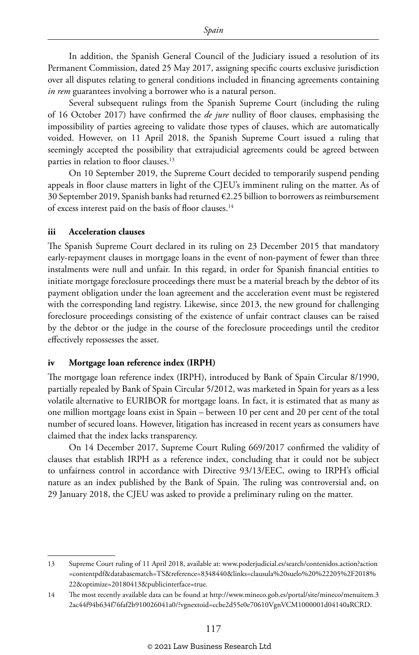In addition, the Spanish General Council of the Judiciary issued a resolution of its Permanent Commission, dated 25 May 2017, assigning specific courts exclusive jurisdiction over all disputes relating to general conditions included in financing agreements containing *in rem* guarantees involving a borrower who is a natural person.

Several subsequent rulings from the Spanish Supreme Court (including the ruling of 16 October 2017) have confirmed the *de jure* nullity of floor clauses, emphasising the impossibility of parties agreeing to validate those types of clauses, which are automatically voided. However, on 11 April 2018, the Spanish Supreme Court issued a ruling that seemingly accepted the possibility that extrajudicial agreements could be agreed between parties in relation to floor clauses.<sup>13</sup>

On 10 September 2019, the Supreme Court decided to temporarily suspend pending appeals in floor clause matters in light of the CJEU's imminent ruling on the matter. As of 30 September 2019, Spanish banks had returned €2.25 billion to borrowers as reimbursement of excess interest paid on the basis of floor clauses.14

#### **iii Acceleration clauses**

The Spanish Supreme Court declared in its ruling on 23 December 2015 that mandatory early-repayment clauses in mortgage loans in the event of non-payment of fewer than three instalments were null and unfair. In this regard, in order for Spanish financial entities to initiate mortgage foreclosure proceedings there must be a material breach by the debtor of its payment obligation under the loan agreement and the acceleration event must be registered with the corresponding land registry. Likewise, since 2013, the new ground for challenging foreclosure proceedings consisting of the existence of unfair contract clauses can be raised by the debtor or the judge in the course of the foreclosure proceedings until the creditor effectively repossesses the asset.

#### **iv Mortgage loan reference index (IRPH)**

The mortgage loan reference index (IRPH), introduced by Bank of Spain Circular 8/1990, partially repealed by Bank of Spain Circular 5/2012, was marketed in Spain for years as a less volatile alternative to EURIBOR for mortgage loans. In fact, it is estimated that as many as one million mortgage loans exist in Spain – between 10 per cent and 20 per cent of the total number of secured loans. However, litigation has increased in recent years as consumers have claimed that the index lacks transparency.

On 14 December 2017, Supreme Court Ruling 669/2017 confirmed the validity of clauses that establish IRPH as a reference index, concluding that it could not be subject to unfairness control in accordance with Directive 93/13/EEC, owing to IRPH's official nature as an index published by the Bank of Spain. The ruling was controversial and, on 29 January 2018, the CJEU was asked to provide a preliminary ruling on the matter.

<sup>13</sup> Supreme Court ruling of 11 April 2018, available at: www.poderjudicial.es/search/contenidos.action?action =contentpdf&databasematch=TS&reference=8348440&links=clausula%20suelo%20%22205%2F2018% 22&optimize=20180413&publicinterface=true.

<sup>14</sup> The most recently available data can be found at http://www.mineco.gob.es/portal/site/mineco/menuitem.3 2ac44f94b634f76faf2b910026041a0/?vgnextoid=ccbe2d55e0e70610VgnVCM1000001d04140aRCRD.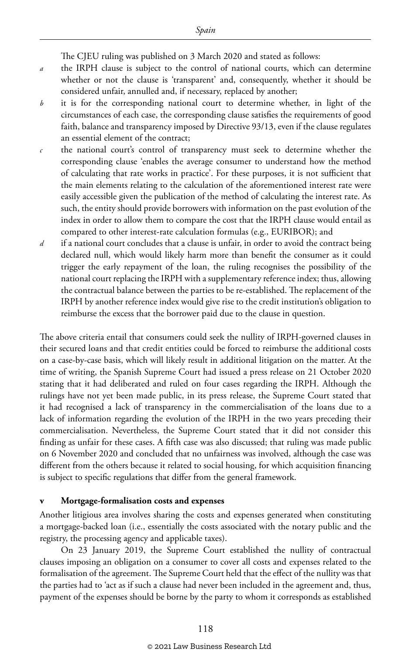The CJEU ruling was published on 3 March 2020 and stated as follows:

- *a* the IRPH clause is subject to the control of national courts, which can determine whether or not the clause is 'transparent' and, consequently, whether it should be considered unfair, annulled and, if necessary, replaced by another;
- *b* it is for the corresponding national court to determine whether, in light of the circumstances of each case, the corresponding clause satisfies the requirements of good faith, balance and transparency imposed by Directive 93/13, even if the clause regulates an essential element of the contract;
- *c* the national court's control of transparency must seek to determine whether the corresponding clause 'enables the average consumer to understand how the method of calculating that rate works in practice'. For these purposes, it is not sufficient that the main elements relating to the calculation of the aforementioned interest rate were easily accessible given the publication of the method of calculating the interest rate. As such, the entity should provide borrowers with information on the past evolution of the index in order to allow them to compare the cost that the IRPH clause would entail as compared to other interest-rate calculation formulas (e.g., EURIBOR); and
- *d* if a national court concludes that a clause is unfair, in order to avoid the contract being declared null, which would likely harm more than benefit the consumer as it could trigger the early repayment of the loan, the ruling recognises the possibility of the national court replacing the IRPH with a supplementary reference index; thus, allowing the contractual balance between the parties to be re-established. The replacement of the IRPH by another reference index would give rise to the credit institution's obligation to reimburse the excess that the borrower paid due to the clause in question.

The above criteria entail that consumers could seek the nullity of IRPH-governed clauses in their secured loans and that credit entities could be forced to reimburse the additional costs on a case-by-case basis, which will likely result in additional litigation on the matter. At the time of writing, the Spanish Supreme Court had issued a press release on 21 October 2020 stating that it had deliberated and ruled on four cases regarding the IRPH. Although the rulings have not yet been made public, in its press release, the Supreme Court stated that it had recognised a lack of transparency in the commercialisation of the loans due to a lack of information regarding the evolution of the IRPH in the two years preceding their commercialisation. Nevertheless, the Supreme Court stated that it did not consider this finding as unfair for these cases. A fifth case was also discussed; that ruling was made public on 6 November 2020 and concluded that no unfairness was involved, although the case was different from the others because it related to social housing, for which acquisition financing is subject to specific regulations that differ from the general framework.

#### **v Mortgage-formalisation costs and expenses**

Another litigious area involves sharing the costs and expenses generated when constituting a mortgage-backed loan (i.e., essentially the costs associated with the notary public and the registry, the processing agency and applicable taxes).

On 23 January 2019, the Supreme Court established the nullity of contractual clauses imposing an obligation on a consumer to cover all costs and expenses related to the formalisation of the agreement. The Supreme Court held that the effect of the nullity was that the parties had to 'act as if such a clause had never been included in the agreement and, thus, payment of the expenses should be borne by the party to whom it corresponds as established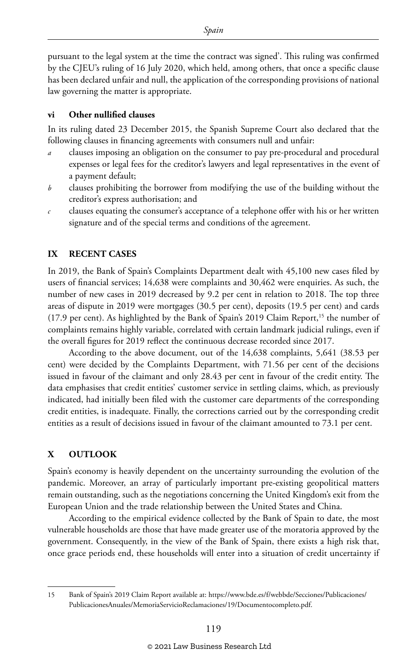pursuant to the legal system at the time the contract was signed'. This ruling was confirmed by the CJEU's ruling of 16 July 2020, which held, among others, that once a specific clause has been declared unfair and null, the application of the corresponding provisions of national law governing the matter is appropriate.

#### **vi Other nullified clauses**

In its ruling dated 23 December 2015, the Spanish Supreme Court also declared that the following clauses in financing agreements with consumers null and unfair:

- *a* clauses imposing an obligation on the consumer to pay pre-procedural and procedural expenses or legal fees for the creditor's lawyers and legal representatives in the event of a payment default;
- *b* clauses prohibiting the borrower from modifying the use of the building without the creditor's express authorisation; and
- *c* clauses equating the consumer's acceptance of a telephone offer with his or her written signature and of the special terms and conditions of the agreement.

#### **IX RECENT CASES**

In 2019, the Bank of Spain's Complaints Department dealt with 45,100 new cases filed by users of financial services; 14,638 were complaints and 30,462 were enquiries. As such, the number of new cases in 2019 decreased by 9.2 per cent in relation to 2018. The top three areas of dispute in 2019 were mortgages (30.5 per cent), deposits (19.5 per cent) and cards (17.9 per cent). As highlighted by the Bank of Spain's 2019 Claim Report,15 the number of complaints remains highly variable, correlated with certain landmark judicial rulings, even if the overall figures for 2019 reflect the continuous decrease recorded since 2017.

According to the above document, out of the 14,638 complaints, 5,641 (38.53 per cent) were decided by the Complaints Department, with 71.56 per cent of the decisions issued in favour of the claimant and only 28.43 per cent in favour of the credit entity. The data emphasises that credit entities' customer service in settling claims, which, as previously indicated, had initially been filed with the customer care departments of the corresponding credit entities, is inadequate. Finally, the corrections carried out by the corresponding credit entities as a result of decisions issued in favour of the claimant amounted to 73.1 per cent.

#### **X OUTLOOK**

Spain's economy is heavily dependent on the uncertainty surrounding the evolution of the pandemic. Moreover, an array of particularly important pre-existing geopolitical matters remain outstanding, such as the negotiations concerning the United Kingdom's exit from the European Union and the trade relationship between the United States and China.

According to the empirical evidence collected by the Bank of Spain to date, the most vulnerable households are those that have made greater use of the moratoria approved by the government. Consequently, in the view of the Bank of Spain, there exists a high risk that, once grace periods end, these households will enter into a situation of credit uncertainty if

<sup>15</sup> Bank of Spain's 2019 Claim Report available at: https://www.bde.es/f/webbde/Secciones/Publicaciones/ PublicacionesAnuales/MemoriaServicioReclamaciones/19/Documentocompleto.pdf.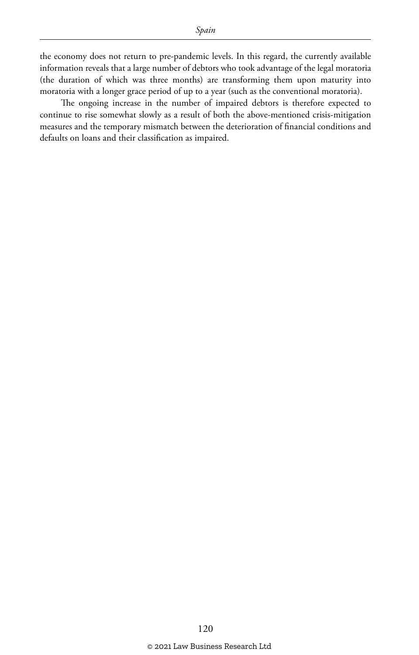the economy does not return to pre-pandemic levels. In this regard, the currently available information reveals that a large number of debtors who took advantage of the legal moratoria (the duration of which was three months) are transforming them upon maturity into moratoria with a longer grace period of up to a year (such as the conventional moratoria).

The ongoing increase in the number of impaired debtors is therefore expected to continue to rise somewhat slowly as a result of both the above-mentioned crisis-mitigation measures and the temporary mismatch between the deterioration of financial conditions and defaults on loans and their classification as impaired.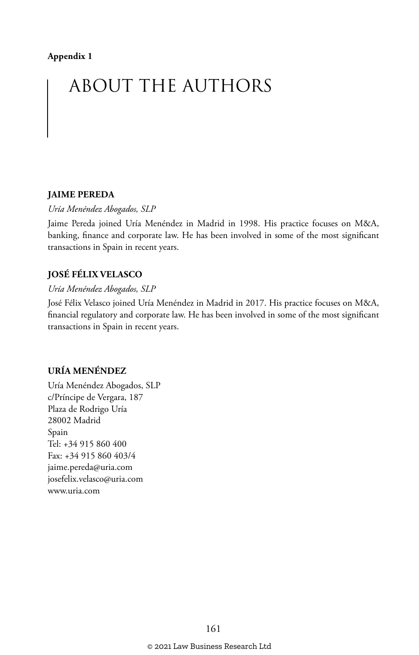#### **Appendix 1**

# ABOUT THE AUTHORS

#### **JAIME PEREDA**

*Uría Menéndez Abogados, SLP*

Jaime Pereda joined Uría Menéndez in Madrid in 1998. His practice focuses on M&A, banking, finance and corporate law. He has been involved in some of the most significant transactions in Spain in recent years.

#### **JOSÉ FÉLIX VELASCO**

#### *Uría Menéndez Abogados, SLP*

José Félix Velasco joined Uría Menéndez in Madrid in 2017. His practice focuses on M&A, financial regulatory and corporate law. He has been involved in some of the most significant transactions in Spain in recent years.

#### **URÍA MENÉNDEZ**

Uría Menéndez Abogados, SLP c/Príncipe de Vergara, 187 Plaza de Rodrigo Uría 28002 Madrid Spain Tel: +34 915 860 400 Fax: +34 915 860 403/4 jaime.pereda@uria.com josefelix.velasco@uria.com www.uria.com